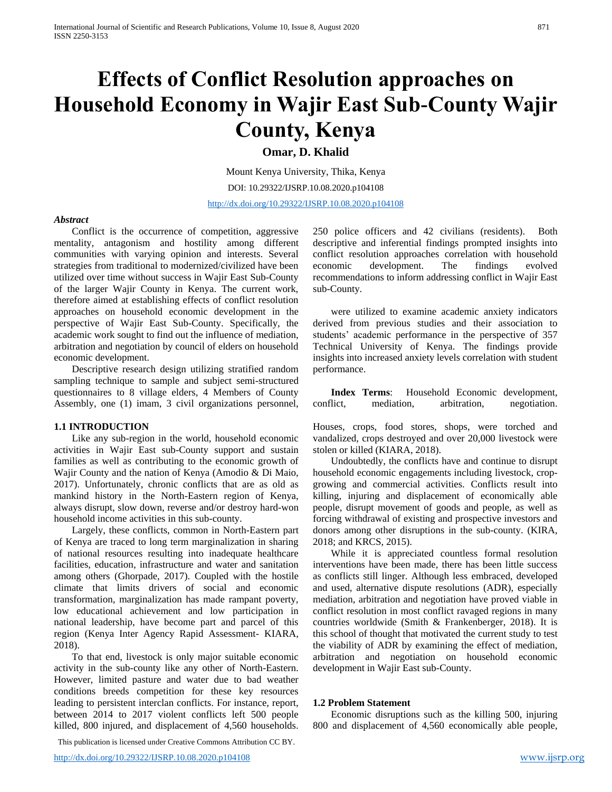# **Effects of Conflict Resolution approaches on Household Economy in Wajir East Sub-County Wajir County, Kenya**

**Omar, D. Khalid** 

Mount Kenya University, Thika, Kenya DOI: 10.29322/IJSRP.10.08.2020.p104108 <http://dx.doi.org/10.29322/IJSRP.10.08.2020.p104108>

# *Abstract*

Conflict is the occurrence of competition, aggressive mentality, antagonism and hostility among different communities with varying opinion and interests. Several strategies from traditional to modernized/civilized have been utilized over time without success in Wajir East Sub-County of the larger Wajir County in Kenya. The current work, therefore aimed at establishing effects of conflict resolution approaches on household economic development in the perspective of Wajir East Sub-County. Specifically, the academic work sought to find out the influence of mediation, arbitration and negotiation by council of elders on household economic development.

Descriptive research design utilizing stratified random sampling technique to sample and subject semi-structured questionnaires to 8 village elders, 4 Members of County Assembly, one (1) imam, 3 civil organizations personnel,

#### **1.1 INTRODUCTION**

Like any sub-region in the world, household economic activities in Wajir East sub-County support and sustain families as well as contributing to the economic growth of Wajir County and the nation of Kenya (Amodio & Di Maio, 2017). Unfortunately, chronic conflicts that are as old as mankind history in the North-Eastern region of Kenya, always disrupt, slow down, reverse and/or destroy hard-won household income activities in this sub-county.

Largely, these conflicts, common in North-Eastern part of Kenya are traced to long term marginalization in sharing of national resources resulting into inadequate healthcare facilities, education, infrastructure and water and sanitation among others (Ghorpade, 2017). Coupled with the hostile climate that limits drivers of social and economic transformation, marginalization has made rampant poverty, low educational achievement and low participation in national leadership, have become part and parcel of this region (Kenya Inter Agency Rapid Assessment- KIARA, 2018).

To that end, livestock is only major suitable economic activity in the sub-county like any other of North-Eastern. However, limited pasture and water due to bad weather conditions breeds competition for these key resources leading to persistent interclan conflicts. For instance, report, between 2014 to 2017 violent conflicts left 500 people killed, 800 injured, and displacement of 4,560 households.

This publication is licensed under Creative Commons Attribution CC BY.

250 police officers and 42 civilians (residents). Both descriptive and inferential findings prompted insights into conflict resolution approaches correlation with household economic development. The findings evolved recommendations to inform addressing conflict in Wajir East sub-County.

were utilized to examine academic anxiety indicators derived from previous studies and their association to students' academic performance in the perspective of 357 Technical University of Kenya. The findings provide insights into increased anxiety levels correlation with student performance.

**Index Terms**: Household Economic development, conflict, mediation, arbitration, negotiation.

Houses, crops, food stores, shops, were torched and vandalized, crops destroyed and over 20,000 livestock were stolen or killed (KIARA, 2018).

Undoubtedly, the conflicts have and continue to disrupt household economic engagements including livestock, cropgrowing and commercial activities. Conflicts result into killing, injuring and displacement of economically able people, disrupt movement of goods and people, as well as forcing withdrawal of existing and prospective investors and donors among other disruptions in the sub-county. (KIRA, 2018; and KRCS, 2015).

While it is appreciated countless formal resolution interventions have been made, there has been little success as conflicts still linger. Although less embraced, developed and used, alternative dispute resolutions (ADR), especially mediation, arbitration and negotiation have proved viable in conflict resolution in most conflict ravaged regions in many countries worldwide (Smith & Frankenberger, 2018). It is this school of thought that motivated the current study to test the viability of ADR by examining the effect of mediation, arbitration and negotiation on household economic development in Wajir East sub-County.

## **1.2 Problem Statement**

Economic disruptions such as the killing 500, injuring 800 and displacement of 4,560 economically able people,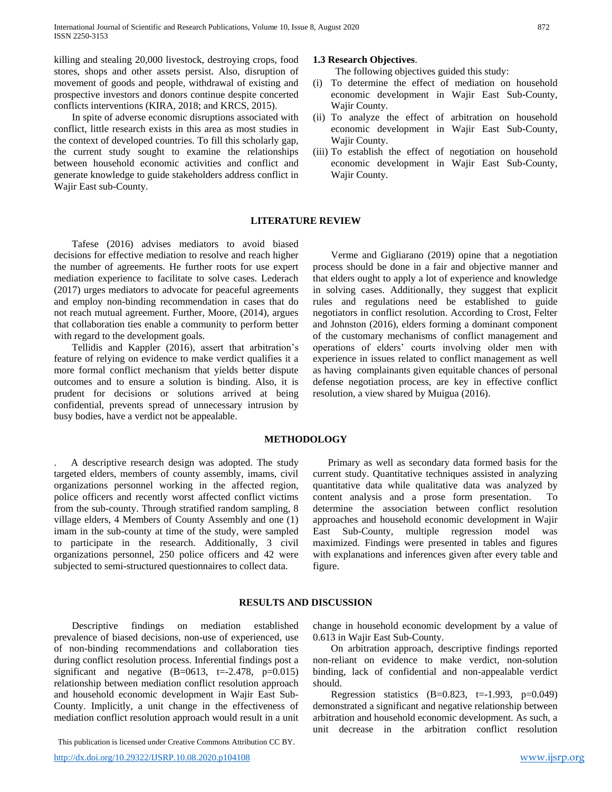killing and stealing 20,000 livestock, destroying crops, food stores, shops and other assets persist. Also, disruption of movement of goods and people, withdrawal of existing and prospective investors and donors continue despite concerted conflicts interventions (KIRA, 2018; and KRCS, 2015).

In spite of adverse economic disruptions associated with conflict, little research exists in this area as most studies in the context of developed countries. To fill this scholarly gap, the current study sought to examine the relationships between household economic activities and conflict and generate knowledge to guide stakeholders address conflict in Wajir East sub-County.

#### **1.3 Research Objectives**.

The following objectives guided this study:

- (i) To determine the effect of mediation on household economic development in Wajir East Sub-County, Wajir County.
- (ii) To analyze the effect of arbitration on household economic development in Wajir East Sub-County, Wajir County.
- (iii) To establish the effect of negotiation on household economic development in Wajir East Sub-County, Wajir County.

#### **LITERATURE REVIEW**

Tafese (2016) advises mediators to avoid biased decisions for effective mediation to resolve and reach higher the number of agreements. He further roots for use expert mediation experience to facilitate to solve cases. Lederach (2017) urges mediators to advocate for peaceful agreements and employ non-binding recommendation in cases that do not reach mutual agreement. Further, Moore, (2014), argues that collaboration ties enable a community to perform better with regard to the development goals.

Tellidis and Kappler (2016), assert that arbitration's feature of relying on evidence to make verdict qualifies it a more formal conflict mechanism that yields better dispute outcomes and to ensure a solution is binding. Also, it is prudent for decisions or solutions arrived at being confidential, prevents spread of unnecessary intrusion by busy bodies, have a verdict not be appealable.

Verme and Gigliarano (2019) opine that a negotiation process should be done in a fair and objective manner and that elders ought to apply a lot of experience and knowledge in solving cases. Additionally, they suggest that explicit rules and regulations need be established to guide negotiators in conflict resolution. According to Crost, Felter and Johnston (2016), elders forming a dominant component of the customary mechanisms of conflict management and operations of elders' courts involving older men with experience in issues related to conflict management as well as having complainants given equitable chances of personal defense negotiation process, are key in effective conflict resolution, a view shared by Muigua (2016).

### **METHODOLOGY**

. A descriptive research design was adopted. The study targeted elders, members of county assembly, imams, civil organizations personnel working in the affected region, police officers and recently worst affected conflict victims from the sub-county. Through stratified random sampling, 8 village elders, 4 Members of County Assembly and one (1) imam in the sub-county at time of the study, were sampled to participate in the research. Additionally, 3 civil organizations personnel, 250 police officers and 42 were subjected to semi-structured questionnaires to collect data.

 Primary as well as secondary data formed basis for the current study. Quantitative techniques assisted in analyzing quantitative data while qualitative data was analyzed by content analysis and a prose form presentation. To determine the association between conflict resolution approaches and household economic development in Wajir East Sub-County, multiple regression model was maximized. Findings were presented in tables and figures with explanations and inferences given after every table and figure.

#### **RESULTS AND DISCUSSION**

Descriptive findings on mediation established prevalence of biased decisions, non-use of experienced, use of non-binding recommendations and collaboration ties during conflict resolution process. Inferential findings post a significant and negative  $(B=0613, t=-2.478, p=0.015)$ relationship between mediation conflict resolution approach and household economic development in Wajir East Sub-County. Implicitly, a unit change in the effectiveness of mediation conflict resolution approach would result in a unit

This publication is licensed under Creative Commons Attribution CC BY.

change in household economic development by a value of 0.613 in Wajir East Sub-County.

On arbitration approach, descriptive findings reported non-reliant on evidence to make verdict, non-solution binding, lack of confidential and non-appealable verdict should.

Regression statistics  $(B=0.823, t=.1.993, p=.0.049)$ demonstrated a significant and negative relationship between arbitration and household economic development. As such, a unit decrease in the arbitration conflict resolution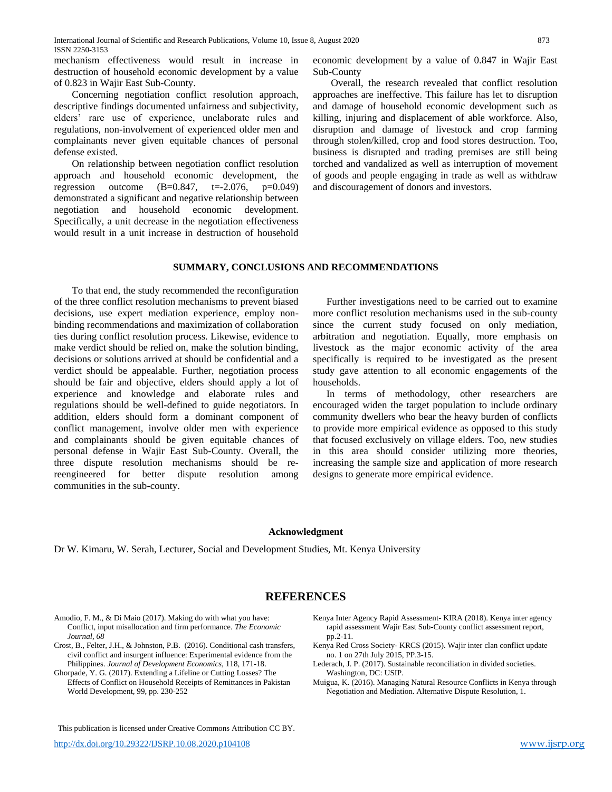mechanism effectiveness would result in increase in destruction of household economic development by a value of 0.823 in Wajir East Sub-County.

Concerning negotiation conflict resolution approach, descriptive findings documented unfairness and subjectivity, elders' rare use of experience, unelaborate rules and regulations, non-involvement of experienced older men and complainants never given equitable chances of personal defense existed.

On relationship between negotiation conflict resolution approach and household economic development, the regression outcome  $(B=0.847, t=.2076, p=.049)$ demonstrated a significant and negative relationship between negotiation and household economic development. Specifically, a unit decrease in the negotiation effectiveness would result in a unit increase in destruction of household

economic development by a value of 0.847 in Wajir East Sub-County

Overall, the research revealed that conflict resolution approaches are ineffective. This failure has let to disruption and damage of household economic development such as killing, injuring and displacement of able workforce. Also, disruption and damage of livestock and crop farming through stolen/killed, crop and food stores destruction. Too, business is disrupted and trading premises are still being torched and vandalized as well as interruption of movement of goods and people engaging in trade as well as withdraw and discouragement of donors and investors.

# **SUMMARY, CONCLUSIONS AND RECOMMENDATIONS**

To that end, the study recommended the reconfiguration of the three conflict resolution mechanisms to prevent biased decisions, use expert mediation experience, employ nonbinding recommendations and maximization of collaboration ties during conflict resolution process. Likewise, evidence to make verdict should be relied on, make the solution binding, decisions or solutions arrived at should be confidential and a verdict should be appealable. Further, negotiation process should be fair and objective, elders should apply a lot of experience and knowledge and elaborate rules and regulations should be well-defined to guide negotiators. In addition, elders should form a dominant component of conflict management, involve older men with experience and complainants should be given equitable chances of personal defense in Wajir East Sub-County. Overall, the three dispute resolution mechanisms should be rereengineered for better dispute resolution among communities in the sub-county.

Further investigations need to be carried out to examine more conflict resolution mechanisms used in the sub-county since the current study focused on only mediation, arbitration and negotiation. Equally, more emphasis on livestock as the major economic activity of the area specifically is required to be investigated as the present study gave attention to all economic engagements of the households.

In terms of methodology, other researchers are encouraged widen the target population to include ordinary community dwellers who bear the heavy burden of conflicts to provide more empirical evidence as opposed to this study that focused exclusively on village elders. Too, new studies in this area should consider utilizing more theories, increasing the sample size and application of more research designs to generate more empirical evidence.

#### **Acknowledgment**

Dr W. Kimaru, W. Serah, Lecturer, Social and Development Studies, Mt. Kenya University

# **REFERENCES**

- Amodio, F. M., & Di Maio (2017). Making do with what you have: Conflict, input misallocation and firm performance. *The Economic Journal, 68*
- Crost, B., Felter, J.H., & Johnston, P.B. (2016). Conditional cash transfers, civil conflict and insurgent influence: Experimental evidence from the Philippines. *Journal of Development Economics,* 118, 171-18.
- Ghorpade, Y. G. (2017). Extending a Lifeline or Cutting Losses? The Effects of Conflict on Household Receipts of Remittances in Pakistan World Development, 99, pp. 230-252

This publication is licensed under Creative Commons Attribution CC BY.

- Kenya Inter Agency Rapid Assessment- KIRA (2018). Kenya inter agency rapid assessment Wajir East Sub-County conflict assessment report, pp.2-11.
- Kenya Red Cross Society- KRCS (2015). Wajir inter clan conflict update no. 1 on 27th July 2015, PP.3-15.
- Lederach, J. P. (2017). Sustainable reconciliation in divided societies. Washington, DC: USIP.
- Muigua, K. (2016). Managing Natural Resource Conflicts in Kenya through Negotiation and Mediation. Alternative Dispute Resolution, 1.